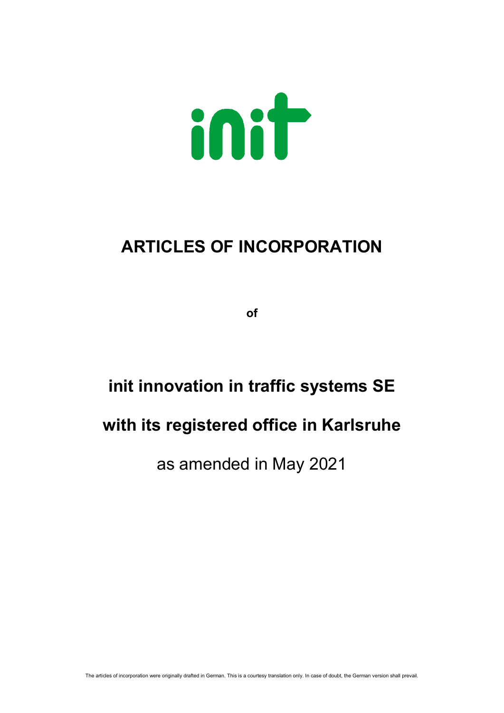

# **ARTICLES OF INCORPORATION**

**of**

# **init innovation in traffic systems SE**

# **with its registered office in Karlsruhe**

# as amended in May 2021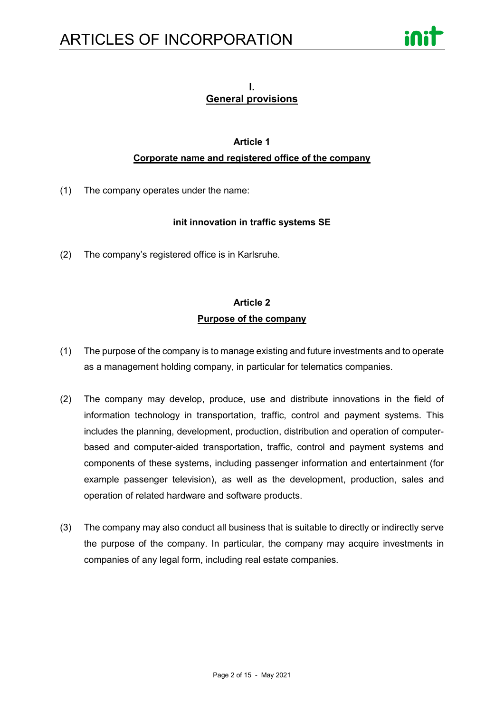

#### **I. General provisions**

#### **Article 1**

#### **Corporate name and registered office of the company**

(1) The company operates under the name:

#### **init innovation in traffic systems SE**

(2) The company's registered office is in Karlsruhe.

## **Article 2 Purpose of the company**

- (1) The purpose of the company is to manage existing and future investments and to operate as a management holding company, in particular for telematics companies.
- (2) The company may develop, produce, use and distribute innovations in the field of information technology in transportation, traffic, control and payment systems. This includes the planning, development, production, distribution and operation of computerbased and computer-aided transportation, traffic, control and payment systems and components of these systems, including passenger information and entertainment (for example passenger television), as well as the development, production, sales and operation of related hardware and software products.
- (3) The company may also conduct all business that is suitable to directly or indirectly serve the purpose of the company. In particular, the company may acquire investments in companies of any legal form, including real estate companies.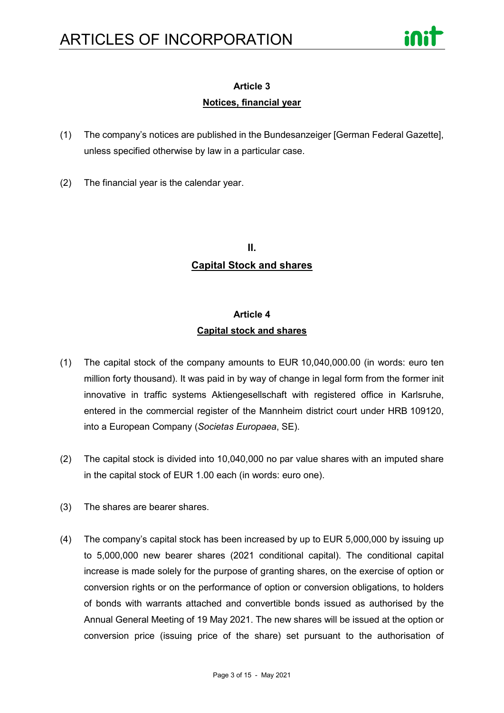

# **Article 3**

#### **Notices, financial year**

- (1) The company's notices are published in the Bundesanzeiger [German Federal Gazette], unless specified otherwise by law in a particular case.
- (2) The financial year is the calendar year.

# **II. Capital Stock and shares**

# **Article 4 Capital stock and shares**

- (1) The capital stock of the company amounts to EUR 10,040,000.00 (in words: euro ten million forty thousand). It was paid in by way of change in legal form from the former init innovative in traffic systems Aktiengesellschaft with registered office in Karlsruhe, entered in the commercial register of the Mannheim district court under HRB 109120, into a European Company (*Societas Europaea*, SE).
- (2) The capital stock is divided into 10,040,000 no par value shares with an imputed share in the capital stock of EUR 1.00 each (in words: euro one).
- (3) The shares are bearer shares.
- (4) The company's capital stock has been increased by up to EUR 5,000,000 by issuing up to 5,000,000 new bearer shares (2021 conditional capital). The conditional capital increase is made solely for the purpose of granting shares, on the exercise of option or conversion rights or on the performance of option or conversion obligations, to holders of bonds with warrants attached and convertible bonds issued as authorised by the Annual General Meeting of 19 May 2021. The new shares will be issued at the option or conversion price (issuing price of the share) set pursuant to the authorisation of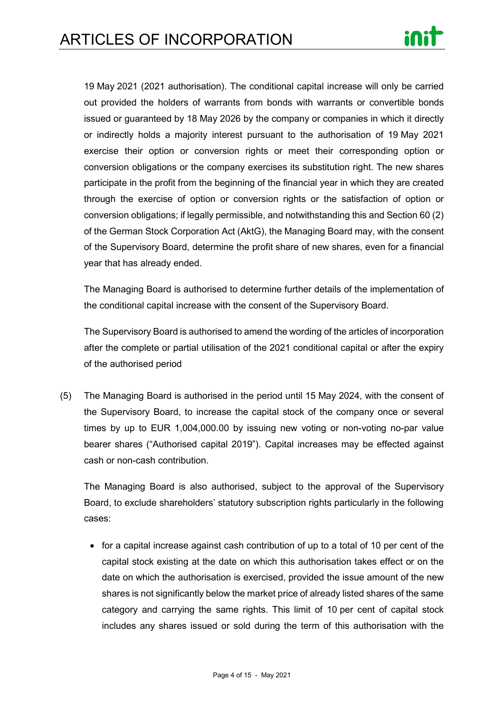

19 May 2021 (2021 authorisation). The conditional capital increase will only be carried out provided the holders of warrants from bonds with warrants or convertible bonds issued or guaranteed by 18 May 2026 by the company or companies in which it directly or indirectly holds a majority interest pursuant to the authorisation of 19 May 2021 exercise their option or conversion rights or meet their corresponding option or conversion obligations or the company exercises its substitution right. The new shares participate in the profit from the beginning of the financial year in which they are created through the exercise of option or conversion rights or the satisfaction of option or conversion obligations; if legally permissible, and notwithstanding this and Section 60 (2) of the German Stock Corporation Act (AktG), the Managing Board may, with the consent of the Supervisory Board, determine the profit share of new shares, even for a financial year that has already ended.

The Managing Board is authorised to determine further details of the implementation of the conditional capital increase with the consent of the Supervisory Board.

The Supervisory Board is authorised to amend the wording of the articles of incorporation after the complete or partial utilisation of the 2021 conditional capital or after the expiry of the authorised period

(5) The Managing Board is authorised in the period until 15 May 2024, with the consent of the Supervisory Board, to increase the capital stock of the company once or several times by up to EUR 1,004,000.00 by issuing new voting or non-voting no-par value bearer shares ("Authorised capital 2019"). Capital increases may be effected against cash or non-cash contribution.

The Managing Board is also authorised, subject to the approval of the Supervisory Board, to exclude shareholders' statutory subscription rights particularly in the following cases:

• for a capital increase against cash contribution of up to a total of 10 per cent of the capital stock existing at the date on which this authorisation takes effect or on the date on which the authorisation is exercised, provided the issue amount of the new shares is not significantly below the market price of already listed shares of the same category and carrying the same rights. This limit of 10 per cent of capital stock includes any shares issued or sold during the term of this authorisation with the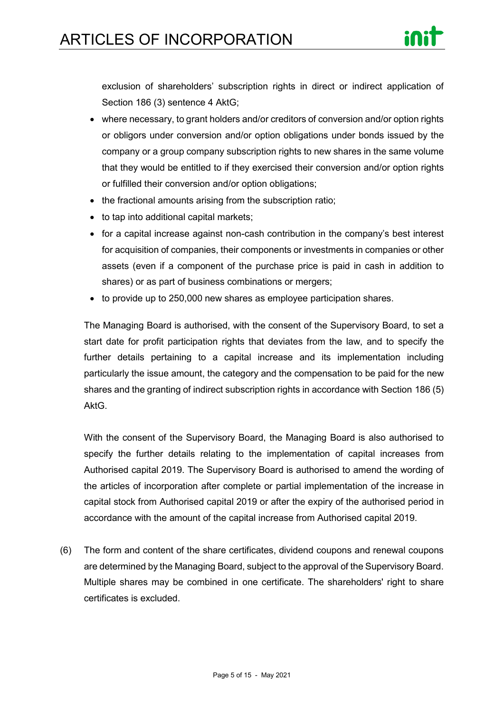

exclusion of shareholders' subscription rights in direct or indirect application of Section 186 (3) sentence 4 AktG;

- where necessary, to grant holders and/or creditors of conversion and/or option rights or obligors under conversion and/or option obligations under bonds issued by the company or a group company subscription rights to new shares in the same volume that they would be entitled to if they exercised their conversion and/or option rights or fulfilled their conversion and/or option obligations;
- the fractional amounts arising from the subscription ratio;
- to tap into additional capital markets;
- for a capital increase against non-cash contribution in the company's best interest for acquisition of companies, their components or investments in companies or other assets (even if a component of the purchase price is paid in cash in addition to shares) or as part of business combinations or mergers;
- to provide up to 250,000 new shares as employee participation shares.

The Managing Board is authorised, with the consent of the Supervisory Board, to set a start date for profit participation rights that deviates from the law, and to specify the further details pertaining to a capital increase and its implementation including particularly the issue amount, the category and the compensation to be paid for the new shares and the granting of indirect subscription rights in accordance with Section 186 (5) AktG.

With the consent of the Supervisory Board, the Managing Board is also authorised to specify the further details relating to the implementation of capital increases from Authorised capital 2019. The Supervisory Board is authorised to amend the wording of the articles of incorporation after complete or partial implementation of the increase in capital stock from Authorised capital 2019 or after the expiry of the authorised period in accordance with the amount of the capital increase from Authorised capital 2019.

(6) The form and content of the share certificates, dividend coupons and renewal coupons are determined by the Managing Board, subject to the approval of the Supervisory Board. Multiple shares may be combined in one certificate. The shareholders' right to share certificates is excluded.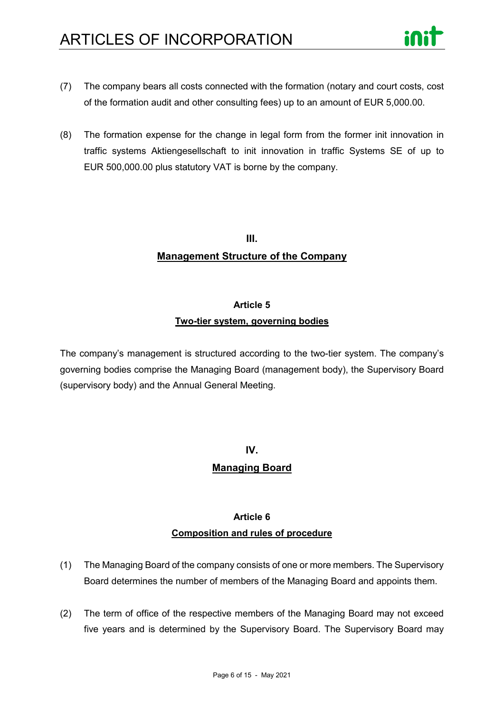- 
- (7) The company bears all costs connected with the formation (notary and court costs, cost of the formation audit and other consulting fees) up to an amount of EUR 5,000.00.
- (8) The formation expense for the change in legal form from the former init innovation in traffic systems Aktiengesellschaft to init innovation in traffic Systems SE of up to EUR 500,000.00 plus statutory VAT is borne by the company.

# **III. Management Structure of the Company**

#### **Article 5**

#### **Two-tier system, governing bodies**

The company's management is structured according to the two-tier system. The company's governing bodies comprise the Managing Board (management body), the Supervisory Board (supervisory body) and the Annual General Meeting.

# **IV. Managing Board**

# **Article 6 Composition and rules of procedure**

- (1) The Managing Board of the company consists of one or more members. The Supervisory Board determines the number of members of the Managing Board and appoints them.
- (2) The term of office of the respective members of the Managing Board may not exceed five years and is determined by the Supervisory Board. The Supervisory Board may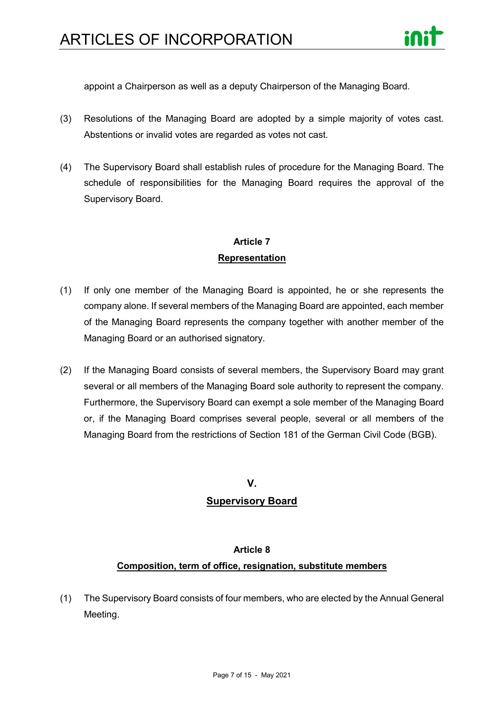

appoint a Chairperson as well as a deputy Chairperson of the Managing Board.

- (3) Resolutions of the Managing Board are adopted by a simple majority of votes cast. Abstentions or invalid votes are regarded as votes not cast.
- (4) The Supervisory Board shall establish rules of procedure for the Managing Board. The schedule of responsibilities for the Managing Board requires the approval of the Supervisory Board.

## **Article 7 Representation**

- (1) If only one member of the Managing Board is appointed, he or she represents the company alone. If several members of the Managing Board are appointed, each member of the Managing Board represents the company together with another member of the Managing Board or an authorised signatory.
- (2) If the Managing Board consists of several members, the Supervisory Board may grant several or all members of the Managing Board sole authority to represent the company. Furthermore, the Supervisory Board can exempt a sole member of the Managing Board or, if the Managing Board comprises several people, several or all members of the Managing Board from the restrictions of Section 181 of the German Civil Code (BGB).

#### **V.**

#### **Supervisory Board**

#### **Article 8**

#### **Composition, term of office, resignation, substitute members**

(1) The Supervisory Board consists of four members, who are elected by the Annual General Meeting.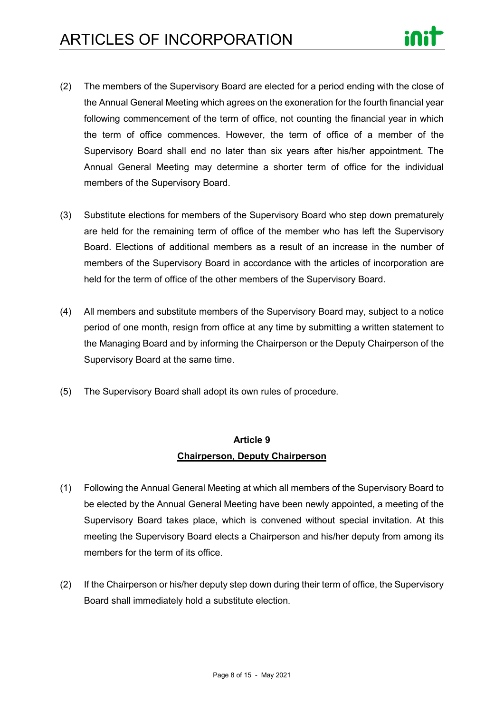- (2) The members of the Supervisory Board are elected for a period ending with the close of the Annual General Meeting which agrees on the exoneration for the fourth financial year following commencement of the term of office, not counting the financial year in which the term of office commences. However, the term of office of a member of the Supervisory Board shall end no later than six years after his/her appointment. The Annual General Meeting may determine a shorter term of office for the individual members of the Supervisory Board.
- (3) Substitute elections for members of the Supervisory Board who step down prematurely are held for the remaining term of office of the member who has left the Supervisory Board. Elections of additional members as a result of an increase in the number of members of the Supervisory Board in accordance with the articles of incorporation are held for the term of office of the other members of the Supervisory Board.
- (4) All members and substitute members of the Supervisory Board may, subject to a notice period of one month, resign from office at any time by submitting a written statement to the Managing Board and by informing the Chairperson or the Deputy Chairperson of the Supervisory Board at the same time.
- (5) The Supervisory Board shall adopt its own rules of procedure.

### **Article 9 Chairperson, Deputy Chairperson**

- (1) Following the Annual General Meeting at which all members of the Supervisory Board to be elected by the Annual General Meeting have been newly appointed, a meeting of the Supervisory Board takes place, which is convened without special invitation. At this meeting the Supervisory Board elects a Chairperson and his/her deputy from among its members for the term of its office.
- (2) If the Chairperson or his/her deputy step down during their term of office, the Supervisory Board shall immediately hold a substitute election.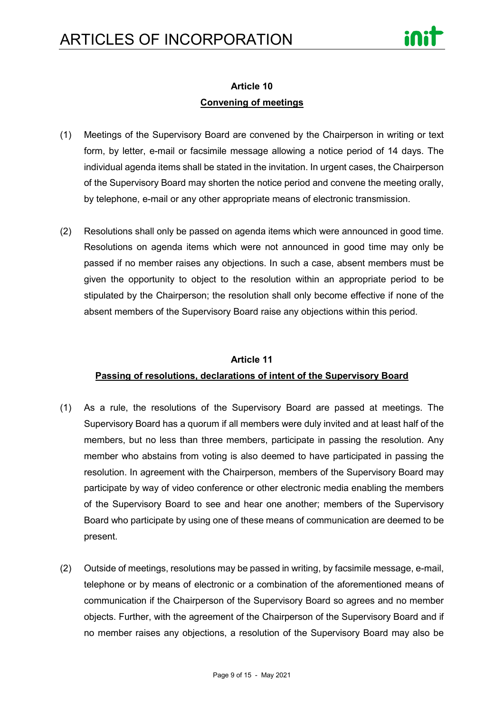

### **Article 10 Convening of meetings**

- (1) Meetings of the Supervisory Board are convened by the Chairperson in writing or text form, by letter, e-mail or facsimile message allowing a notice period of 14 days. The individual agenda items shall be stated in the invitation. In urgent cases, the Chairperson of the Supervisory Board may shorten the notice period and convene the meeting orally, by telephone, e-mail or any other appropriate means of electronic transmission.
- (2) Resolutions shall only be passed on agenda items which were announced in good time. Resolutions on agenda items which were not announced in good time may only be passed if no member raises any objections. In such a case, absent members must be given the opportunity to object to the resolution within an appropriate period to be stipulated by the Chairperson; the resolution shall only become effective if none of the absent members of the Supervisory Board raise any objections within this period.

#### **Article 11**

#### **Passing of resolutions, declarations of intent of the Supervisory Board**

- (1) As a rule, the resolutions of the Supervisory Board are passed at meetings. The Supervisory Board has a quorum if all members were duly invited and at least half of the members, but no less than three members, participate in passing the resolution. Any member who abstains from voting is also deemed to have participated in passing the resolution. In agreement with the Chairperson, members of the Supervisory Board may participate by way of video conference or other electronic media enabling the members of the Supervisory Board to see and hear one another; members of the Supervisory Board who participate by using one of these means of communication are deemed to be present.
- (2) Outside of meetings, resolutions may be passed in writing, by facsimile message, e-mail, telephone or by means of electronic or a combination of the aforementioned means of communication if the Chairperson of the Supervisory Board so agrees and no member objects. Further, with the agreement of the Chairperson of the Supervisory Board and if no member raises any objections, a resolution of the Supervisory Board may also be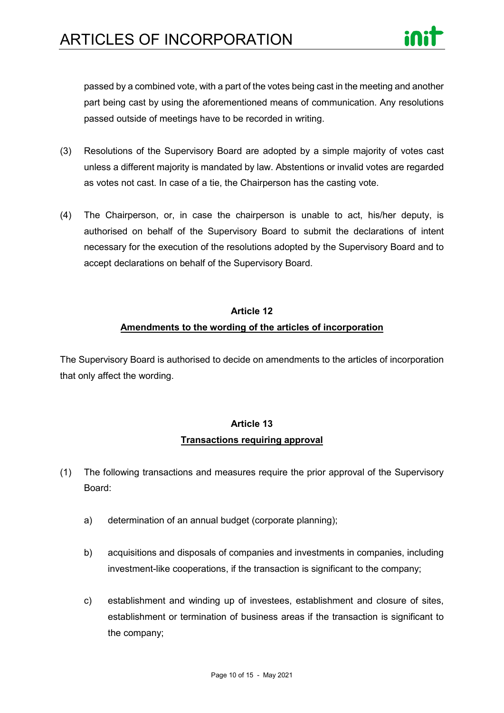

passed by a combined vote, with a part of the votes being cast in the meeting and another part being cast by using the aforementioned means of communication. Any resolutions passed outside of meetings have to be recorded in writing.

- (3) Resolutions of the Supervisory Board are adopted by a simple majority of votes cast unless a different majority is mandated by law. Abstentions or invalid votes are regarded as votes not cast. In case of a tie, the Chairperson has the casting vote.
- (4) The Chairperson, or, in case the chairperson is unable to act, his/her deputy, is authorised on behalf of the Supervisory Board to submit the declarations of intent necessary for the execution of the resolutions adopted by the Supervisory Board and to accept declarations on behalf of the Supervisory Board.

# **Article 12 Amendments to the wording of the articles of incorporation**

The Supervisory Board is authorised to decide on amendments to the articles of incorporation that only affect the wording.

## **Article 13 Transactions requiring approval**

- (1) The following transactions and measures require the prior approval of the Supervisory Board:
	- a) determination of an annual budget (corporate planning);
	- b) acquisitions and disposals of companies and investments in companies, including investment-like cooperations, if the transaction is significant to the company;
	- c) establishment and winding up of investees, establishment and closure of sites, establishment or termination of business areas if the transaction is significant to the company;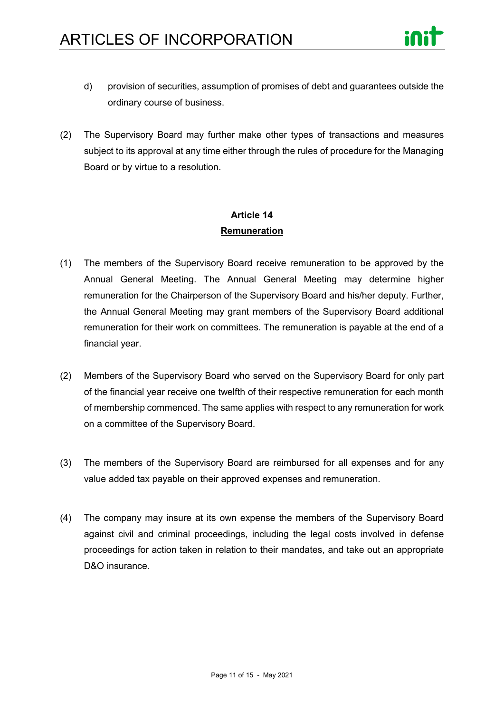

- d) provision of securities, assumption of promises of debt and guarantees outside the ordinary course of business.
- (2) The Supervisory Board may further make other types of transactions and measures subject to its approval at any time either through the rules of procedure for the Managing Board or by virtue to a resolution.

## **Article 14 Remuneration**

- (1) The members of the Supervisory Board receive remuneration to be approved by the Annual General Meeting. The Annual General Meeting may determine higher remuneration for the Chairperson of the Supervisory Board and his/her deputy. Further, the Annual General Meeting may grant members of the Supervisory Board additional remuneration for their work on committees. The remuneration is payable at the end of a financial year.
- (2) Members of the Supervisory Board who served on the Supervisory Board for only part of the financial year receive one twelfth of their respective remuneration for each month of membership commenced. The same applies with respect to any remuneration for work on a committee of the Supervisory Board.
- (3) The members of the Supervisory Board are reimbursed for all expenses and for any value added tax payable on their approved expenses and remuneration.
- (4) The company may insure at its own expense the members of the Supervisory Board against civil and criminal proceedings, including the legal costs involved in defense proceedings for action taken in relation to their mandates, and take out an appropriate D&O insurance.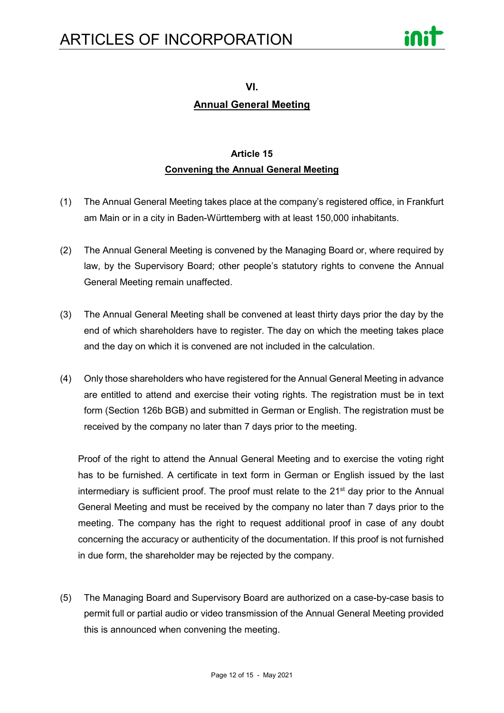

**VI.**

### **Annual General Meeting**

## **Article 15 Convening the Annual General Meeting**

- (1) The Annual General Meeting takes place at the company's registered office, in Frankfurt am Main or in a city in Baden-Württemberg with at least 150,000 inhabitants.
- (2) The Annual General Meeting is convened by the Managing Board or, where required by law, by the Supervisory Board; other people's statutory rights to convene the Annual General Meeting remain unaffected.
- (3) The Annual General Meeting shall be convened at least thirty days prior the day by the end of which shareholders have to register. The day on which the meeting takes place and the day on which it is convened are not included in the calculation.
- (4) Only those shareholders who have registered for the Annual General Meeting in advance are entitled to attend and exercise their voting rights. The registration must be in text form (Section 126b BGB) and submitted in German or English. The registration must be received by the company no later than 7 days prior to the meeting.

Proof of the right to attend the Annual General Meeting and to exercise the voting right has to be furnished. A certificate in text form in German or English issued by the last intermediary is sufficient proof. The proof must relate to the  $21<sup>st</sup>$  day prior to the Annual General Meeting and must be received by the company no later than 7 days prior to the meeting. The company has the right to request additional proof in case of any doubt concerning the accuracy or authenticity of the documentation. If this proof is not furnished in due form, the shareholder may be rejected by the company.

(5) The Managing Board and Supervisory Board are authorized on a case-by-case basis to permit full or partial audio or video transmission of the Annual General Meeting provided this is announced when convening the meeting.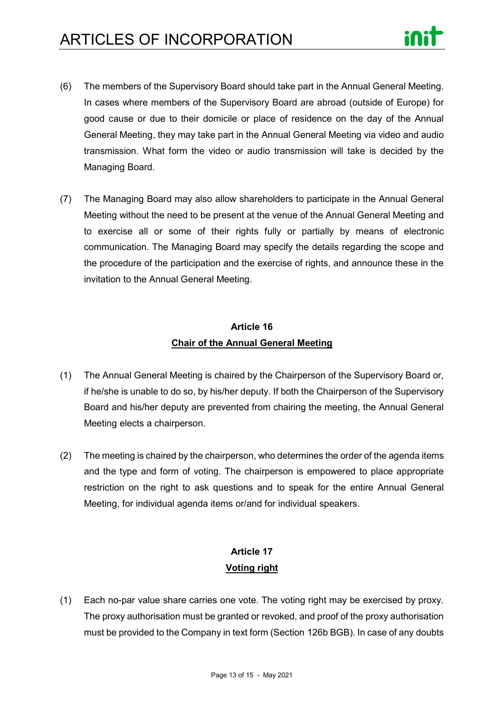

- (6) The members of the Supervisory Board should take part in the Annual General Meeting. In cases where members of the Supervisory Board are abroad (outside of Europe) for good cause or due to their domicile or place of residence on the day of the Annual General Meeting, they may take part in the Annual General Meeting via video and audio transmission. What form the video or audio transmission will take is decided by the Managing Board.
- (7) The Managing Board may also allow shareholders to participate in the Annual General Meeting without the need to be present at the venue of the Annual General Meeting and to exercise all or some of their rights fully or partially by means of electronic communication. The Managing Board may specify the details regarding the scope and the procedure of the participation and the exercise of rights, and announce these in the invitation to the Annual General Meeting.

## **Article 16 Chair of the Annual General Meeting**

- (1) The Annual General Meeting is chaired by the Chairperson of the Supervisory Board or, if he/she is unable to do so, by his/her deputy. If both the Chairperson of the Supervisory Board and his/her deputy are prevented from chairing the meeting, the Annual General Meeting elects a chairperson.
- (2) The meeting is chaired by the chairperson, who determines the order of the agenda items and the type and form of voting. The chairperson is empowered to place appropriate restriction on the right to ask questions and to speak for the entire Annual General Meeting, for individual agenda items or/and for individual speakers.

## **Article 17 Voting right**

(1) Each no-par value share carries one vote. The voting right may be exercised by proxy. The proxy authorisation must be granted or revoked, and proof of the proxy authorisation must be provided to the Company in text form (Section 126b BGB). In case of any doubts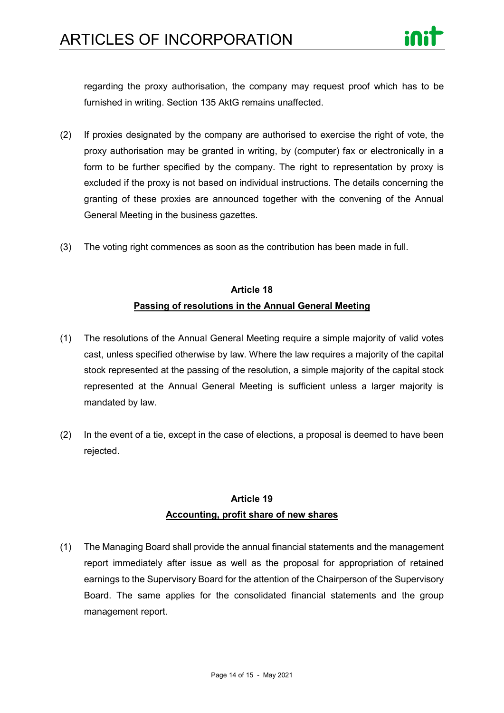

regarding the proxy authorisation, the company may request proof which has to be furnished in writing. Section 135 AktG remains unaffected.

- (2) If proxies designated by the company are authorised to exercise the right of vote, the proxy authorisation may be granted in writing, by (computer) fax or electronically in a form to be further specified by the company. The right to representation by proxy is excluded if the proxy is not based on individual instructions. The details concerning the granting of these proxies are announced together with the convening of the Annual General Meeting in the business gazettes.
- (3) The voting right commences as soon as the contribution has been made in full.

## **Article 18 Passing of resolutions in the Annual General Meeting**

- (1) The resolutions of the Annual General Meeting require a simple majority of valid votes cast, unless specified otherwise by law. Where the law requires a majority of the capital stock represented at the passing of the resolution, a simple majority of the capital stock represented at the Annual General Meeting is sufficient unless a larger majority is mandated by law.
- (2) In the event of a tie, except in the case of elections, a proposal is deemed to have been rejected.

## **Article 19 Accounting, profit share of new shares**

(1) The Managing Board shall provide the annual financial statements and the management report immediately after issue as well as the proposal for appropriation of retained earnings to the Supervisory Board for the attention of the Chairperson of the Supervisory Board. The same applies for the consolidated financial statements and the group management report.